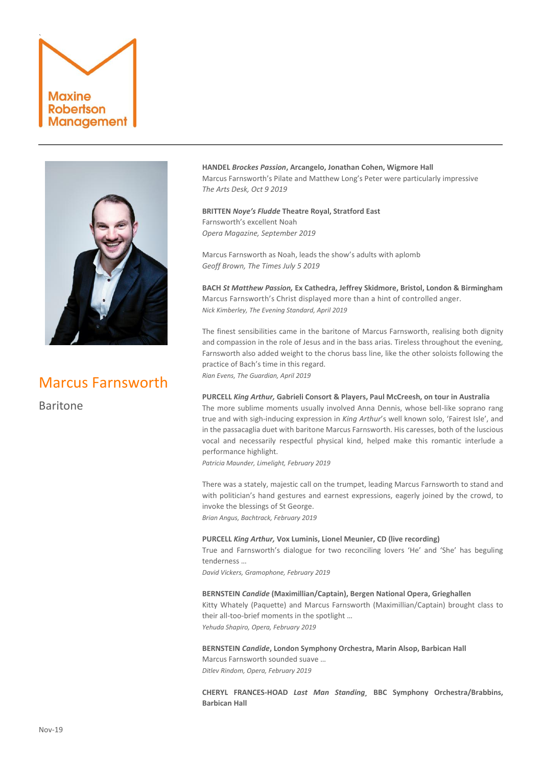# ` Maxine Robertson Management



# Marcus Farnsworth

Baritone

**HANDEL** *Brockes Passion***, Arcangelo, Jonathan Cohen, Wigmore Hall** Marcus Farnsworth's Pilate and Matthew Long's Peter were particularly impressive *The Arts Desk, Oct 9 2019*

**BRITTEN** *Noye's Fludde* **Theatre Royal, Stratford East** Farnsworth's excellent Noah *Opera Magazine, September 2019*

Marcus Farnsworth as Noah, leads the show's adults with aplomb *Geoff Brown, The Times July 5 2019*

**BACH** *St Matthew Passion,* **Ex Cathedra, Jeffrey Skidmore, Bristol, London & Birmingham** Marcus Farnsworth's Christ displayed more than a hint of controlled anger. *Nick Kimberley, The Evening Standard, April 2019*

The finest sensibilities came in the baritone of [Marcus Farnsworth,](http://www.marcusfarnsworth.com/about) realising both dignity and compassion in the role of Jesus and in the bass arias. Tireless throughout the evening, Farnsworth also added weight to the chorus bass line, like the other soloists following the practice of Bach's time in this regard.

*Rian Evens, The Guardian, April 2019*

# **PURCELL** *King Arthur,* **Gabrieli Consort & Players, Paul McCreesh, on tour in Australia**

The more sublime moments usually involved Anna Dennis, whose bell-like soprano rang true and with sigh-inducing expression in *King Arthur*'s well known solo, 'Fairest Isle', and in the passacaglia duet with baritone Marcus Farnsworth. His caresses, both of the luscious vocal and necessarily respectful physical kind, helped make this romantic interlude a performance highlight.

*Patricia Maunder, Limelight, February 2019*

There was a stately, majestic call on the trumpet, leading Marcus Farnsworth to stand and with politician's hand gestures and earnest expressions, eagerly joined by the crowd, to invoke the blessings of St George.

*Brian Angus, Bachtrack, February 2019*

## **PURCELL** *King Arthur,* **Vox Luminis, Lionel Meunier, CD (live recording)**

True and Farnsworth's dialogue for two reconciling lovers 'He' and 'She' has beguling tenderness …

*David Vickers, Gramophone, February 2019*

# **BERNSTEIN** *Candide* **(Maximillian/Captain), Bergen National Opera, Grieghallen**

Kitty Whately (Paquette) and Marcus Farnsworth (Maximillian/Captain) brought class to their all-too-brief moments in the spotlight …

*Yehuda Shapiro, Opera, February 2019*

**BERNSTEIN** *Candide***, London Symphony Orchestra, Marin Alsop, Barbican Hall** Marcus Farnsworth sounded suave … *Ditlev Rindom, Opera, February 2019*

**CHERYL FRANCES-HOAD** *Last Man Standing¸* **BBC Symphony Orchestra/Brabbins, Barbican Hall**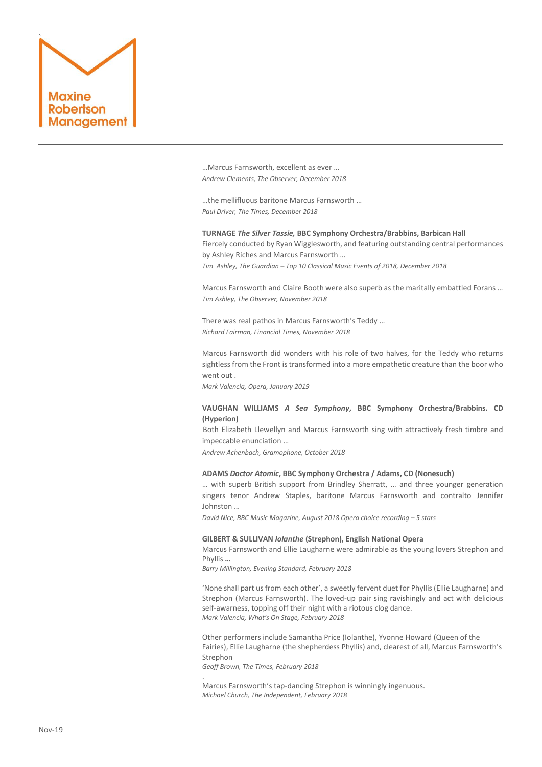

…Marcus Farnsworth, excellent as ever … *Andrew Clements, The Observer, December 2018*

…the mellifluous baritone Marcus Farnsworth … *Paul Driver, The Times, December 2018*

**TURNAGE** *The Silver Tassie,* **BBC Symphony Orchestra/Brabbins, Barbican Hall** Fiercely conducted by Ryan Wigglesworth, and featuring outstanding central performances by Ashley Riches and Marcus Farnsworth … *Tim Ashley, The Guardian – Top 10 Classical Music Events of 2018, December 2018*

[Marcus Farnsworth](http://www.marcusfarnsworth.com/) and Claire Booth were also superb as the maritally embattled Forans … *Tim Ashley, The Observer, November 2018*

There was real pathos in Marcus Farnsworth's Teddy … *Richard Fairman, Financial Times, November 2018*

Marcus Farnsworth did wonders with his role of two halves, for the Teddy who returns sightless from the Front is transformed into a more empathetic creature than the boor who went out .

*Mark Valencia, Opera, January 2019*

# **VAUGHAN WILLIAMS** *A Sea Symphony***, BBC Symphony Orchestra/Brabbins. CD (Hyperion)**

[B](https://adserver.adtech.de/?adlink/1211.1/6410651/0/0/AdId=-3;BnId=0;guid=DA88c176ea-997a-11e8-9608-00163ec2128d;itime=997680108;gdpr=1;)oth Elizabeth Llewellyn and Marcus Farnsworth sing with attractively fresh timbre and impeccable enunciation …

*Andrew Achenbach, Gramophone, October 2018*

# **ADAMS** *Doctor Atomic***, BBC Symphony Orchestra / Adams, CD (Nonesuch)**

… with superb British support from Brindley Sherratt, … and three younger generation singers tenor Andrew Staples, baritone Marcus Farnsworth and contralto Jennifer Johnston …

*David Nice, BBC Music Magazine, August 2018 Opera choice recording - 5 stars* 

#### **GILBERT & SULLIVAN** *Iolanthe* **(Strephon), English National Opera**

Marcus Farnsworth and Ellie Laugharne were admirable as the young lovers Strephon and Phyllis **…**

*Barry Millington, Evening Standard, February 2018*

.

'None shall part us from each other', a sweetly fervent duet for Phyllis (Ellie Laugharne) and Strephon (Marcus Farnsworth). The loved-up pair sing ravishingly and act with delicious self-awarness, topping off their night with a riotous clog dance. *Mark Valencia, What's On Stage, February 2018*

Other performers include Samantha Price (Iolanthe), Yvonne Howard (Queen of the Fairies), Ellie Laugharne (the shepherdess Phyllis) and, clearest of all, Marcus Farnsworth's Strephon *Geoff Brown, The Times, February 2018*

Marcus Farnsworth's tap-dancing Strephon is winningly ingenuous. *Michael Church, The Independent, February 2018*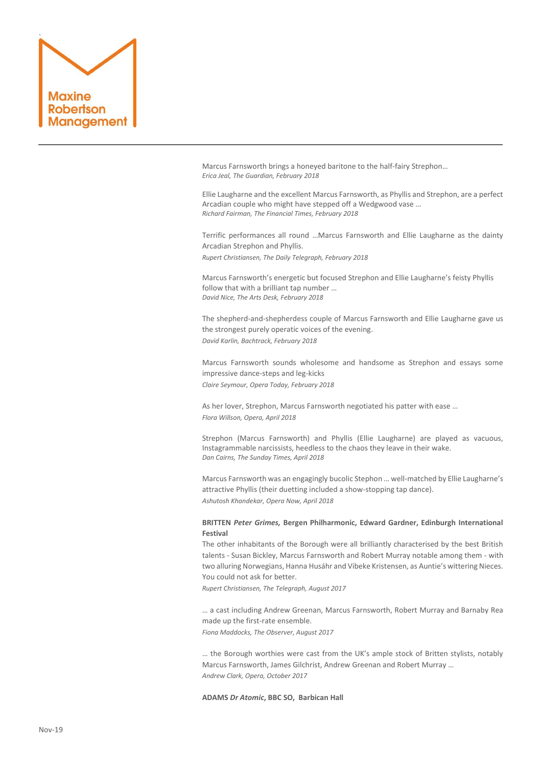

Marcus Farnsworth brings a honeyed baritone to the half-fairy Strephon… *Erica Jeal, The Guardian, February 2018*

Ellie Laugharne and the excellent Marcus Farnsworth, as Phyllis and Strephon, are a perfect Arcadian couple who might have stepped off a Wedgwood vase … *Richard Fairman, The Financial Times, February 2018*

Terrific performances all round …Marcus Farnsworth and Ellie Laugharne as the dainty Arcadian Strephon and Phyllis.

*Rupert Christiansen, The Daily Telegraph, February 2018*

Marcus Farnsworth's energetic but focused Strephon and Ellie Laugharne's feisty Phyllis follow that with a brilliant tap number … *David Nice, The Arts Desk, February 2018*

The shepherd-and-shepherdess couple of Marcus Farnsworth and Ellie Laugharne gave us the strongest purely operatic voices of the evening. *David Karlin, Bachtrack, February 2018*

Marcus Farnsworth sounds wholesome and handsome as Strephon and essays some impressive dance-steps and leg-kicks *Claire Seymour, Opera Today, February 2018*

As her lover, Strephon, Marcus Farnsworth negotiated his patter with ease … *Flora Willson, Opera, April 2018*

Strephon (Marcus Farnsworth) and Phyllis (Ellie Laugharne) are played as vacuous, Instagrammable narcissists, heedless to the chaos they leave in their wake. *Dan Cairns, The Sunday Times, April 2018*

Marcus Farnsworth was an engagingly bucolic Stephon … well-matched by Ellie Laugharne's attractive Phyllis (their duetting included a show-stopping tap dance). *Ashutosh Khandekar, Opera Now, April 2018*

# **BRITTEN** *Peter Grimes,* **Bergen Philharmonic, Edward Gardner, Edinburgh International Festival**

The other inhabitants of the Borough were all brilliantly characterised by the best British talents - Susan Bickley, Marcus Farnsworth and Robert Murray notable among them - with two alluring Norwegians, Hanna Husáhr and Vibeke Kristensen, as Auntie's wittering Nieces. You could not ask for better.

*Rupert Christiansen, The Telegraph, August 2017*

… a cast including Andrew Greenan, Marcus Farnsworth, Robert Murray and Barnaby Rea made up the first-rate ensemble. *Fiona Maddocks, The Observer, August 2017*

… the Borough worthies were cast from the UK's ample stock of Britten stylists, notably Marcus Farnsworth, James Gilchrist, Andrew Greenan and Robert Murray … *Andrew Clark, Opera, October 2017*

**ADAMS** *Dr Atomic***, BBC SO, Barbican Hall**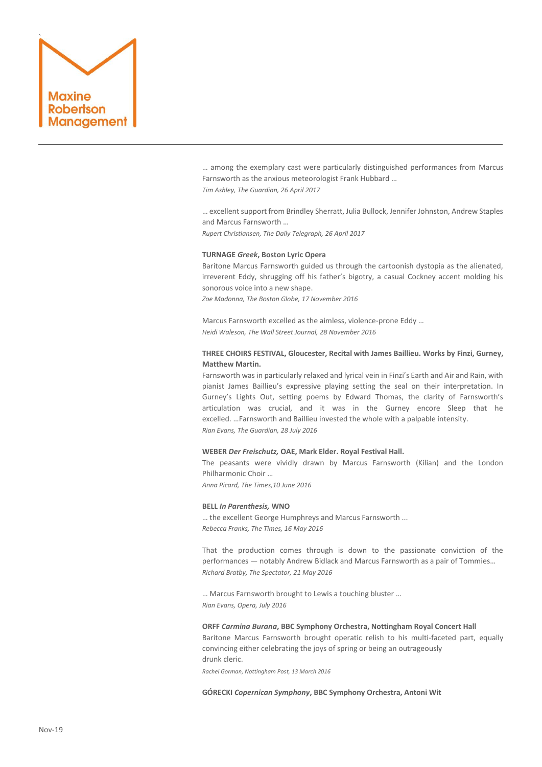

… among the exemplary cast were particularly distinguished performances from [Marcus](http://www.marcusfarnsworth.com/about)  [Farnsworth](http://www.marcusfarnsworth.com/about) as the anxious meteorologist Frank Hubbard … *Tim Ashley, The Guardian, 26 April 2017*

… excellent support from Brindley Sherratt, Julia Bullock, Jennifer Johnston, Andrew Staples and Marcus Farnsworth …

*Rupert Christiansen, The Daily Telegraph, 26 April 2017*

# **TURNAGE** *Greek***, Boston Lyric Opera**

Baritone Marcus Farnsworth guided us through the cartoonish dystopia as the alienated, irreverent Eddy, shrugging off his father's bigotry, a casual Cockney accent molding his sonorous voice into a new shape.

*Zoe Madonna, The Boston Globe, 17 November 2016*

Marcus Farnsworth excelled as the aimless, violence-prone Eddy … *Heidi Waleson, The Wall Street Journal, 28 November 2016*

# **THREE CHOIRS FESTIVAL, Gloucester, Recital with James Baillieu. Works by Finzi, Gurney, Matthew Martin.**

Farnsworth was in particularly relaxed and lyrical vein in Finzi's Earth and Air and Rain, with pianist [James Baillieu](http://james-baillieu.com/)'s expressive playing setting the seal on their interpretation. In Gurney's Lights Out, setting poems by Edward Thomas, the clarity of Farnsworth's articulation was crucial, and it was in the Gurney encore Sleep that he excelled. …Farnsworth and Baillieu invested the whole with a palpable intensity. *Rian Evans, The Guardian, 28 July 2016*

#### **WEBER** *Der Freischutz,* **OAE, Mark Elder. Royal Festival Hall.**

The peasants were vividly drawn by Marcus Farnsworth (Kilian) and the London Philharmonic Choir …

*Anna Picard, The Times,10 June 2016*

# **BELL** *In Parenthesis,* **WNO**

… the excellent George Humphreys and Marcus Farnsworth ... *Rebecca Franks, The Times, 16 May 2016*

That the production comes through is down to the passionate conviction of the performances — notably Andrew Bidlack and Marcus Farnsworth as a pair of Tommies… *Richard Bratby, The Spectator, 21 May 2016*

… Marcus Farnsworth brought to Lewis a touching bluster … *Rian Evans, Opera, July 2016*

# **ORFF** *Carmina Burana***, BBC Symphony Orchestra, Nottingham Royal Concert Hall**

Baritone Marcus Farnsworth brought operatic relish to his multi-faceted part, equally convincing either celebrating the joys of spring or being an outrageously drunk cleric.

*Rachel Gorman, Nottingham Post, 13 March 2016*

**GÓRECKI** *Copernican Symphony***, BBC Symphony Orchestra, Antoni Wit**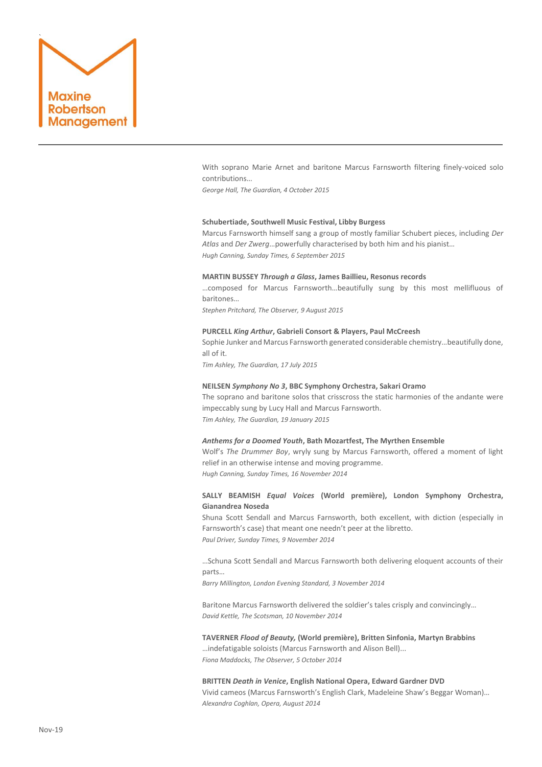

With soprano Marie Arnet and baritone Marcus Farnsworth filtering finely-voiced solo contributions…

*George Hall, The Guardian, 4 October 2015*

#### **Schubertiade, Southwell Music Festival, Libby Burgess**

Marcus Farnsworth himself sang a group of mostly familiar Schubert pieces, including *Der Atlas* and *Der Zwerg*…powerfully characterised by both him and his pianist… *Hugh Canning, Sunday Times, 6 September 2015*

# **MARTIN BUSSEY** *Through a Glass***, James Baillieu, Resonus records**

…composed for Marcus Farnsworth…beautifully sung by this most mellifluous of baritones…

*Stephen Pritchard, The Observer, 9 August 2015*

#### **PURCELL** *King Arthur***, Gabrieli Consort & Players, Paul McCreesh**

Sophie Junker and Marcus Farnsworth generated considerable chemistry…beautifully done, all of it.

*Tim Ashley, The Guardian, 17 July 2015*

# **NEILSEN** *Symphony No 3***, BBC Symphony Orchestra, Sakari Oramo**

The soprano and baritone solos that crisscross the static harmonies of the andante were impeccably sung by Lucy Hall and Marcus Farnsworth. *Tim Ashley, The Guardian, 19 January 2015*

# *Anthems for a Doomed Youth***, Bath Mozartfest, The Myrthen Ensemble**

Wolf's *The Drummer Boy*, wryly sung by Marcus Farnsworth, offered a moment of light relief in an otherwise intense and moving programme. *Hugh Canning, Sunday Times, 16 November 2014*

# **SALLY BEAMISH** *Equal Voices* **(World première), London Symphony Orchestra, Gianandrea Noseda**

Shuna Scott Sendall and Marcus Farnsworth, both excellent, with diction (especially in Farnsworth's case) that meant one needn't peer at the libretto. *Paul Driver, Sunday Times, 9 November 2014*

…Schuna Scott Sendall and Marcus Farnsworth both delivering eloquent accounts of their

parts…

*Barry Millington, London Evening Standard, 3 November 2014*

Baritone Marcus Farnsworth delivered the soldier's tales crisply and convincingly… *David Kettle, The Scotsman, 10 November 2014*

# **TAVERNER** *Flood of Beauty,* **(World première), Britten Sinfonia, Martyn Brabbins** …indefatigable soloists (Marcus Farnsworth and Alison Bell)...

*Fiona Maddocks, The Observer, 5 October 2014*

# **BRITTEN** *Death in Venice***, English National Opera, Edward Gardner DVD** Vivid cameos (Marcus Farnsworth's English Clark, Madeleine Shaw's Beggar Woman)… *Alexandra Coghlan, Opera, August 2014*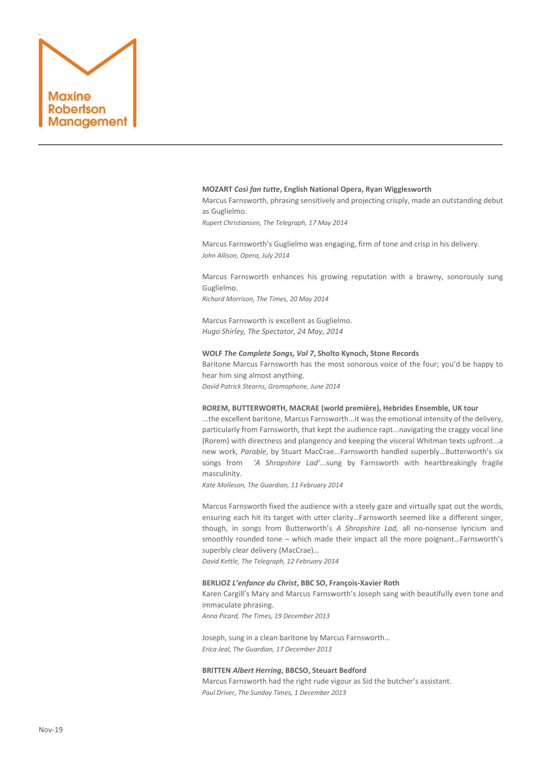

#### **MOZART** *Così fan tutte***, English National Opera, Ryan Wigglesworth**

Marcus Farnsworth, phrasing sensitively and projecting crisply, made an outstanding debut as Guglielmo.

*Rupert Christiansen, The Telegraph, 17 May 2014*

Marcus Farnsworth's Guglielmo was engaging, firm of tone and crisp in his delivery. *John Allison, Opera, July 2014*

Marcus Farnsworth enhances his growing reputation with a brawny, sonorously sung Guglielmo.

*Richard Morrison, The Times, 20 May 2014*

Marcus Farnsworth is excellent as Guglielmo. *Hugo Shirley, The Spectator, 24 May, 2014*

# **WOLF** *The Complete Songs, Vol 7***, Sholto Kynoch, Stone Records**

Baritone Marcus Farnsworth has the most sonorous voice of the four; you'd be happy to hear him sing almost anything.

*David Patrick Stearns, Gramophone, June 2014*

# **ROREM, BUTTERWORTH, MACRAE (world première), Hebrides Ensemble, UK tour**

...the excellent baritone, Marcus Farnsworth...it was the emotional intensity of the delivery, particularly from Farnsworth, that kept the audience rapt...navigating the craggy vocal line (Rorem) with directness and plangency and keeping the visceral Whitman texts upfront...a new work, *Parable*, by Stuart MacCrae...Farnsworth handled superbly...Butterworth's six songs from *'A Shropshire Lad'*...sung by Farnsworth with heartbreakingly fragile masculinity.

*Kate Molleson, The Guardian, 11 February 2014*

Marcus Farnsworth fixed the audience with a steely gaze and virtually spat out the words, ensuring each hit its target with utter clarity…Farnsworth seemed like a different singer, though, in songs from Butterworth's *A Shropshire Lad,* all no-nonsense lyricism and smoothly rounded tone – which made their impact all the more poignant...Farnsworth's superbly clear delivery (MacCrae)…

*David Kettle, The Telegraph, 12 February 2014*

# **BERLIOZ** *L'enfance du Christ***, BBC SO, François-Xavier Roth**

Karen Cargill's Mary and Marcus Farnsworth's Joseph sang with beautifully even tone and immaculate phrasing.

*Anna Picard, The Times, 19 December 2013*

Joseph, sung in a clean baritone b[y Marcus Farnsworth](http://marcusfarnsworth.com/)… *Erica Jeal, The Guardian, 17 December 2013*

#### **BRITTEN** *Albert Herring***, BBCSO, Steuart Bedford**

Marcus Farnsworth had the right rude vigour as Sid the butcher's assistant. *Paul Driver, The Sunday Times, 1 December 2013*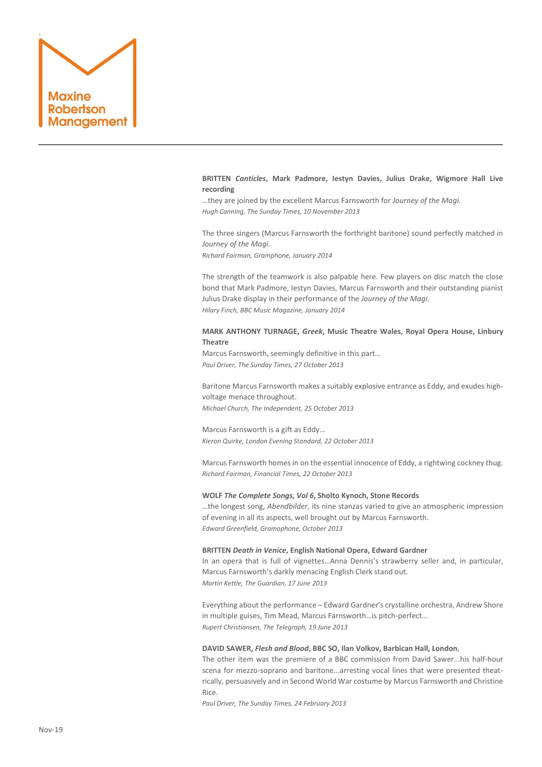

**BRITTEN** *Canticles***, Mark Padmore, Iestyn Davies, Julius Drake, Wigmore Hall Live recording**

…they are joined by the excellent Marcus Farnsworth for *Journey of the Magi. Hugh Canning, The Sunday Times, 10 November 2013*

The three singers (Marcus Farnsworth the forthright baritone) sound perfectly matched in *Journey of the Magi. Richard Fairman, Gramphone, January 2014*

The strength of the teamwork is also palpable here. Few players on disc match the close bond that Mark Padmore, Iestyn Davies, Marcus Farnsworth and their outstanding pianist Julius Drake display in their performance of the *Journey of the Magi. Hilary Finch, BBC Music Magazine, January 2014*

# **MARK ANTHONY TURNAGE,** *Greek***, Music Theatre Wales, Royal Opera House, Linbury Theatre**

Marcus Farnsworth, seemingly definitive in this part… *Paul Driver, The Sunday Times, 27 October 2013*

Baritone Marcus Farnsworth makes a suitably explosive entrance as Eddy, and exudes highvoltage menace throughout.

*Michael Church, The Independent, 25 October 2013*

Marcus Farnsworth is a gift as Eddy… *Kieron Quirke, London Evening Standard, 22 October 2013*

Marcus Farnsworth homes in on the essential innocence of Eddy, a rightwing cockney thug. *Richard Fairman, Financial Times, 22 October 2013*

## **WOLF** *The Complete Songs, Vol 6***, Sholto Kynoch, Stone Records**

…the longest song, *Abendbilder*, its nine stanzas varied to give an atmospheric impression of evening in all its aspects, well brought out by Marcus Farnsworth. *Edward Greenfield, Gramophone, October 2013*

## **BRITTEN** *Death in Venice***, English National Opera, Edward Gardner**

In an opera that is full of vignettes…Anna Dennis's strawberry seller and, in particular, Marcus Farnsworth's darkly menacing English Clerk stand out. *Martin Kettle, The Guardian, 17 June 2013*

Everything about the performance – Edward Gardner's crystalline orchestra, Andrew Shore in multiple guises, Tim Mead, Marcus Farnsworth…is pitch-perfect… *Rupert Christiansen, The Telegraph, 19 June 2013*

## **DAVID SAWER,** *Flesh and Blood***, BBC SO, Ilan Volkov, Barbican Hall, London**,

The other item was the premiere of a BBC commission from David Sawer...his half-hour scena for mezzo-soprano and baritone...arresting vocal lines that were presented theatrically, persuasively and in Second World War costume by Marcus Farnsworth and Christine Rice.

*Paul Driver, The Sunday Times, 24 February 2013*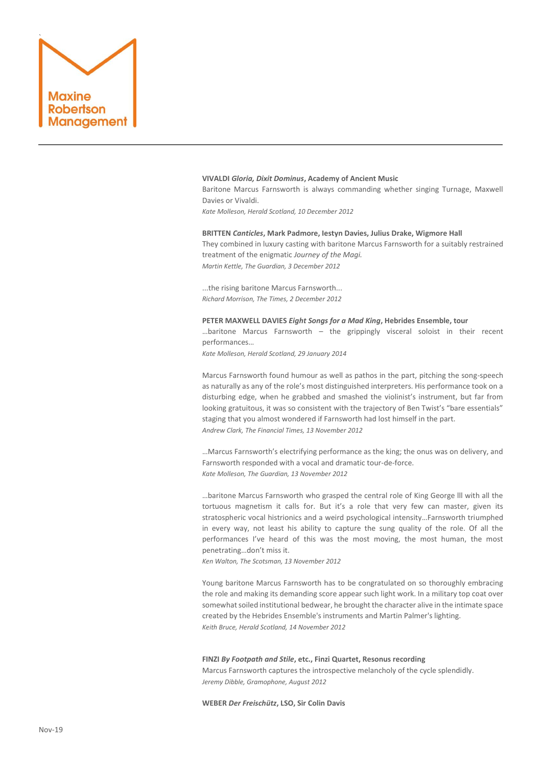

#### **VIVALDI** *Gloria, Dixit Dominus***, Academy of Ancient Music**

Baritone Marcus Farnsworth is always commanding whether singing Turnage, Maxwell Davies or Vivaldi.

*Kate Molleson, Herald Scotland, 10 December 2012*

# **BRITTEN** *Canticles***, Mark Padmore, Iestyn Davies, Julius Drake, Wigmore Hall** They combined in luxury casting with baritone [Marcus Farnsworth](http://marcusfarnsworth.com/) for a suitably restrained treatment of the enigmatic *Journey of the Magi. Martin Kettle, The Guardian, 3 December 2012*

...the rising baritone Marcus Farnsworth... *Richard Morrison, The Times, 2 December 2012*

#### **PETER MAXWELL DAVIES** *Eight Songs for a Mad King***, Hebrides Ensemble, tour**

...baritone Marcus Farnsworth  $-$  the grippingly visceral soloist in their recent performances…

*Kate Molleson, Herald Scotland, 29 January 2014*

Marcus Farnsworth found humour as well as pathos in the part, pitching the song-speech as naturally as any of the role's most distinguished interpreters. His performance took on a disturbing edge, when he grabbed and smashed the violinist's instrument, but far from looking gratuitous, it was so consistent with the trajectory of Ben Twist's "bare essentials" staging that you almost wondered if Farnsworth had lost himself in the part. *Andrew Clark, The Financial Times, 13 November 2012*

…Marcus Farnsworth's electrifying performance as the king; the onus was on delivery, and Farnsworth responded with a vocal and dramatic tour-de-force. *Kate Molleson, The Guardian, 13 November 2012*

…baritone Marcus Farnsworth who grasped the central role of King George lll with all the tortuous magnetism it calls for. But it's a role that very few can master, given its stratospheric vocal histrionics and a weird psychological intensity…Farnsworth triumphed in every way, not least his ability to capture the sung quality of the role. Of all the performances I've heard of this was the most moving, the most human, the most penetrating…don't miss it.

*Ken Walton, The Scotsman, 13 November 2012*

Young baritone Marcus Farnsworth has to be congratulated on so thoroughly embracing the role and making its demanding score appear such light work. In a military top coat over somewhat soiled institutional bedwear, he brought the character alive in the intimate space created by the Hebrides Ensemble's instruments and Martin Palmer's lighting. *Keith Bruce, Herald Scotland, 14 November 2012*

#### **FINZI** *By Footpath and Stile***, etc., Finzi Quartet, Resonus recording**

Marcus Farnsworth captures the introspective melancholy of the cycle splendidly. *Jeremy Dibble, Gramophone, August 2012*

**WEBER** *Der Freischütz***, LSO, Sir Colin Davis**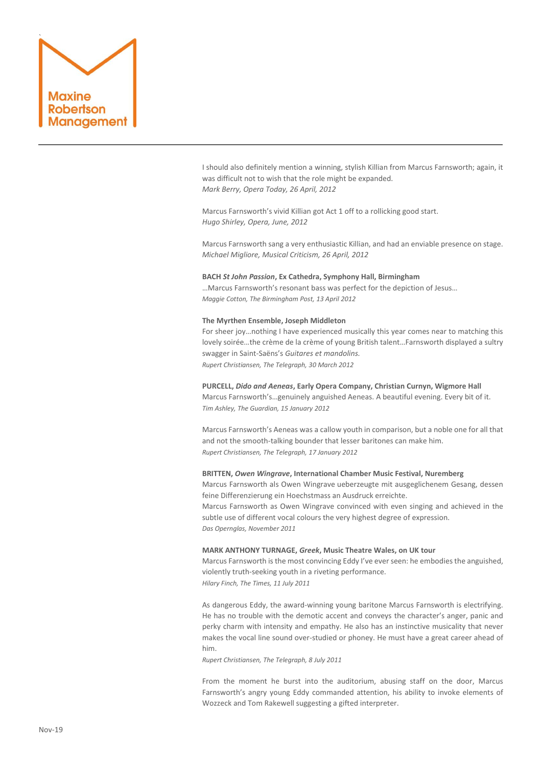

I should also definitely mention a winning, stylish Killian from Marcus Farnsworth; again, it was difficult not to wish that the role might be expanded. *Mark Berry, Opera Today, 26 April, 2012*

Marcus Farnsworth's vivid Killian got Act 1 off to a rollicking good start. *Hugo Shirley, Opera, June, 2012*

Marcus Farnsworth sang a very enthusiastic Killian, and had an enviable presence on stage. *Michael Migliore, Musical Criticism, 26 April, 2012* 

# **BACH** *St John Passion***, Ex Cathedra, Symphony Hall, Birmingham**

…Marcus Farnsworth's resonant bass was perfect for the depiction of Jesus… *Maggie Cotton, The Birmingham Post, 13 April 2012*

#### **The Myrthen Ensemble, Joseph Middleton**

For sheer joy…nothing I have experienced musically this year comes near to matching this lovely soirée…the crème de la crème of young British talent…Farnsworth displayed a sultry swagger in Saint-Saëns's *Guitares et mandolins. Rupert Christiansen, The Telegraph, 30 March 2012*

**PURCELL,** *Dido and Aeneas***, Early Opera Company, Christian Curnyn, Wigmore Hall** Marcus Farnsworth's…genuinely anguished Aeneas. A beautiful evening. Every bit of it. *Tim Ashley, The Guardian, 15 January 2012*

Marcus Farnsworth's Aeneas was a callow youth in comparison, but a noble one for all that and not the smooth-talking bounder that lesser baritones can make him. *Rupert Christiansen, The Telegraph, 17 January 2012*

# **BRITTEN,** *Owen Wingrave***, International Chamber Music Festival, Nuremberg**

Marcus Farnsworth als Owen Wingrave ueberzeugte mit ausgeglichenem Gesang, dessen feine Differenzierung ein Hoechstmass an Ausdruck erreichte.

Marcus Farnsworth as Owen Wingrave convinced with even singing and achieved in the subtle use of different vocal colours the very highest degree of expression. *Das Opernglas, November 2011*

#### **MARK ANTHONY TURNAGE,** *Greek***, Music Theatre Wales, on UK tour**

Marcus Farnsworth is the most convincing Eddy I've ever seen: he embodies the anguished, violently truth-seeking youth in a riveting performance. *Hilary Finch, The Times, 11 July 2011*

As dangerous Eddy, the award-winning young baritone Marcus Farnsworth is electrifying. He has no trouble with the demotic accent and conveys the character's anger, panic and perky charm with intensity and empathy. He also has an instinctive musicality that never makes the vocal line sound over-studied or phoney. He must have a great career ahead of him.

*Rupert Christiansen, The Telegraph, 8 July 2011*

From the moment he burst into the auditorium, abusing staff on the door, Marcus Farnsworth's angry young Eddy commanded attention, his ability to invoke elements of Wozzeck and Tom Rakewell suggesting a gifted interpreter.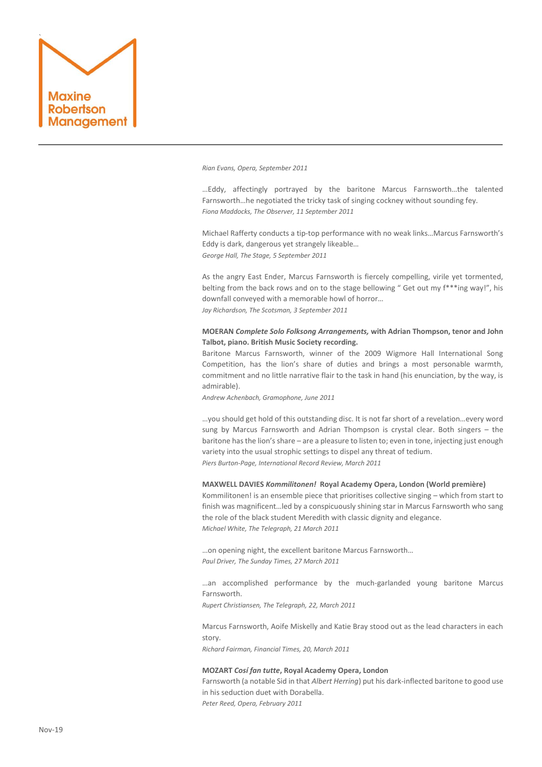

*Rian Evans, Opera, September 2011*

…Eddy, affectingly portrayed by the baritone Marcus Farnsworth…the talented Farnsworth…he negotiated the tricky task of singing cockney without sounding fey. *Fiona Maddocks, The Observer, 11 September 2011*

Michael Rafferty conducts a tip-top performance with no weak links…Marcus Farnsworth's Eddy is dark, dangerous yet strangely likeable… *George Hall, The Stage, 5 September 2011*

As the angry East Ender, Marcus Farnsworth is fiercely compelling, virile yet tormented, belting from the back rows and on to the stage bellowing " Get out my f\*\*\*ing way!", his downfall conveyed with a memorable howl of horror…

*Jay Richardson, The Scotsman, 3 September 2011*

# **MOERAN** *Complete Solo Folksong Arrangements,* **with Adrian Thompson, tenor and John Talbot, piano. British Music Society recording.**

Baritone Marcus Farnsworth, winner of the 2009 Wigmore Hall International Song Competition, has the lion's share of duties and brings a most personable warmth, commitment and no little narrative flair to the task in hand (his enunciation, by the way, is admirable).

*Andrew Achenbach, Gramophone, June 2011*

…you should get hold of this outstanding disc. It is not far short of a revelation…every word sung by Marcus Farnsworth and Adrian Thompson is crystal clear. Both singers – the baritone has the lion's share – are a pleasure to listen to; even in tone, injecting just enough variety into the usual strophic settings to dispel any threat of tedium. *Piers Burton-Page, International Record Review, March 2011*

### **MAXWELL DAVIES** *Kommilitonen!* **Royal Academy Opera, London (World première)**

Kommilitonen! is an ensemble piece that prioritises collective singing – which from start to finish was magnificent…led by a conspicuously shining star in Marcus Farnsworth who sang the role of the black student Meredith with classic dignity and elegance. *Michael White, The Telegraph, 21 March 2011*

…on opening night, the excellent baritone Marcus Farnsworth… *Paul Driver, The Sunday Times, 27 March 2011*

…an accomplished performance by the much-garlanded young baritone Marcus Farnsworth.

*Rupert Christiansen, The Telegraph, 22, March 2011*

Marcus Farnsworth, Aoife Miskelly and Katie Bray stood out as the lead characters in each story.

*Richard Fairman, Financial Times, 20, March 2011*

#### **MOZART** *Cosí fan tutte***, Royal Academy Opera, London**

Farnsworth (a notable Sid in that *Albert Herring*) put his dark-inflected baritone to good use in his seduction duet with Dorabella. *Peter Reed, Opera, February 2011*